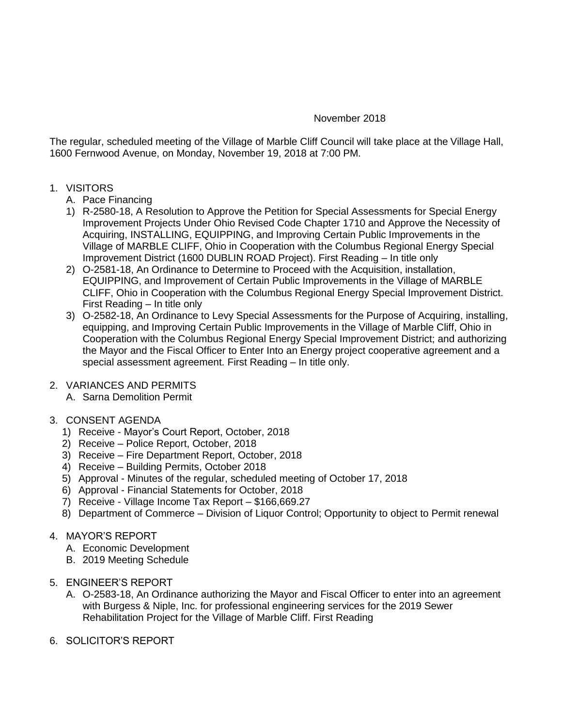# November 2018

The regular, scheduled meeting of the Village of Marble Cliff Council will take place at the Village Hall, 1600 Fernwood Avenue, on Monday, November 19, 2018 at 7:00 PM.

- 1. VISITORS
	- A. Pace Financing
	- 1) R-2580-18, A Resolution to Approve the Petition for Special Assessments for Special Energy Improvement Projects Under Ohio Revised Code Chapter 1710 and Approve the Necessity of Acquiring, INSTALLING, EQUIPPING, and Improving Certain Public Improvements in the Village of MARBLE CLIFF, Ohio in Cooperation with the Columbus Regional Energy Special Improvement District (1600 DUBLIN ROAD Project). First Reading – In title only
	- 2) O-2581-18, An Ordinance to Determine to Proceed with the Acquisition, installation, EQUIPPING, and Improvement of Certain Public Improvements in the Village of MARBLE CLIFF, Ohio in Cooperation with the Columbus Regional Energy Special Improvement District. First Reading – In title only
	- 3) O-2582-18, An Ordinance to Levy Special Assessments for the Purpose of Acquiring, installing, equipping, and Improving Certain Public Improvements in the Village of Marble Cliff, Ohio in Cooperation with the Columbus Regional Energy Special Improvement District; and authorizing the Mayor and the Fiscal Officer to Enter Into an Energy project cooperative agreement and a special assessment agreement. First Reading – In title only.

# 2. VARIANCES AND PERMITS

- A. Sarna Demolition Permit
- 3. CONSENT AGENDA
	- 1) Receive Mayor's Court Report, October, 2018
	- 2) Receive Police Report, October, 2018
	- 3) Receive Fire Department Report, October, 2018
	- 4) Receive Building Permits, October 2018
	- 5) Approval Minutes of the regular, scheduled meeting of October 17, 2018
	- 6) Approval Financial Statements for October, 2018
	- 7) Receive Village Income Tax Report \$166,669.27
	- 8) Department of Commerce Division of Liquor Control; Opportunity to object to Permit renewal

# 4. MAYOR'S REPORT

- A. Economic Development
- B. 2019 Meeting Schedule
- 5. ENGINEER'S REPORT
	- A. O-2583-18, An Ordinance authorizing the Mayor and Fiscal Officer to enter into an agreement with Burgess & Niple, Inc. for professional engineering services for the 2019 Sewer Rehabilitation Project for the Village of Marble Cliff. First Reading
- 6. SOLICITOR'S REPORT